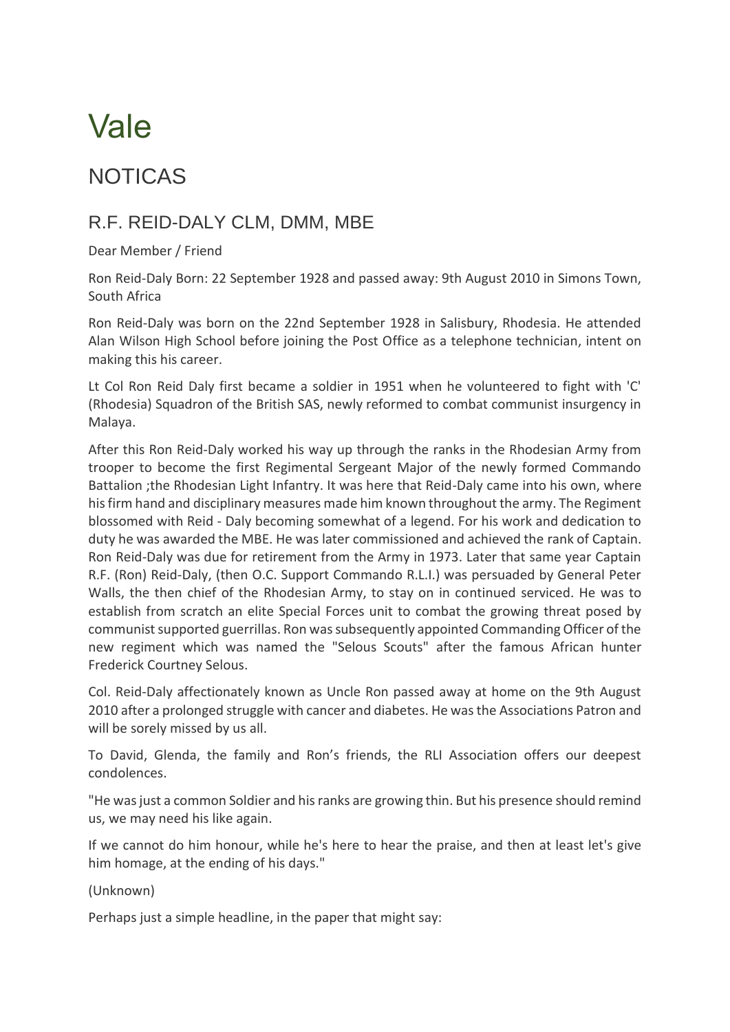## Vale

## NOTICAS

## R.F. REID-DALY CLM, DMM, MBE

Dear Member / Friend

Ron Reid-Daly Born: 22 September 1928 and passed away: 9th August 2010 in Simons Town, South Africa

Ron Reid-Daly was born on the 22nd September 1928 in Salisbury, Rhodesia. He attended Alan Wilson High School before joining the Post Office as a telephone technician, intent on making this his career.

Lt Col Ron Reid Daly first became a soldier in 1951 when he volunteered to fight with 'C' (Rhodesia) Squadron of the British SAS, newly reformed to combat communist insurgency in Malaya.

After this Ron Reid-Daly worked his way up through the ranks in the Rhodesian Army from trooper to become the first Regimental Sergeant Major of the newly formed Commando Battalion ;the Rhodesian Light Infantry. It was here that Reid-Daly came into his own, where his firm hand and disciplinary measures made him known throughout the army. The Regiment blossomed with Reid - Daly becoming somewhat of a legend. For his work and dedication to duty he was awarded the MBE. He was later commissioned and achieved the rank of Captain. Ron Reid-Daly was due for retirement from the Army in 1973. Later that same year Captain R.F. (Ron) Reid-Daly, (then O.C. Support Commando R.L.I.) was persuaded by General Peter Walls, the then chief of the Rhodesian Army, to stay on in continued serviced. He was to establish from scratch an elite Special Forces unit to combat the growing threat posed by communist supported guerrillas. Ron was subsequently appointed Commanding Officer of the new regiment which was named the "Selous Scouts" after the famous African hunter Frederick Courtney Selous.

Col. Reid-Daly affectionately known as Uncle Ron passed away at home on the 9th August 2010 after a prolonged struggle with cancer and diabetes. He was the Associations Patron and will be sorely missed by us all.

To David, Glenda, the family and Ron's friends, the RLI Association offers our deepest condolences.

"He was just a common Soldier and his ranks are growing thin. But his presence should remind us, we may need his like again.

If we cannot do him honour, while he's here to hear the praise, and then at least let's give him homage, at the ending of his days."

(Unknown)

Perhaps just a simple headline, in the paper that might say: